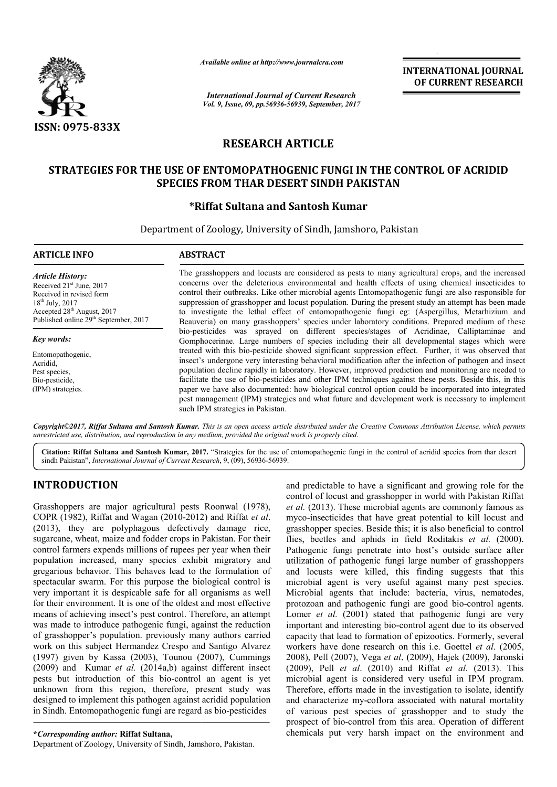

*Available online at http://www.journal http://www.journalcra.com*

*International Journal of Current Research Vol. 9, Issue, 09, pp.56936-56939, September, 2017* **INTERNATIONAL JOURNAL OF CURRENT RESEARCH** 

# **RESEARCH ARTICLE**

# STRATEGIES FOR THE USE OF ENTOMOPATHOGENIC FUNGI IN THE CONTROL OF ACRIDID **SPECIES FROM THAR DESERT SINDH PAKISTAN**

# **\*Riffat Riffat Sultana and Santosh Kumar**

Department of Zoology, University of Sindh, Jamshoro, Pakistan

#### **ARTICLE INFO ABSTRACT** The grasshoppers and locusts are considered as pests to many agricultural crops, and the increased concerns over the deleterious environmental and health effects of using chemical insecticides to control their outbreaks. Like other microbial agents Entomopathogenic fungi are also responsible for suppression of grasshopper and locust population. During the present study an attempt has been made to investigate the lethal effect of entomopathogenic fungi eg: (Aspergillus, Metarhizium and Beauveria) on many grasshoppers' species under laboratory conditions. Prepared medium of these bio-pesticides was sprayed on different species/stages of Acridinae, Calliptaminae and Gomphocerinae. Large numbers of species including their all developmental stages which were treated with this bio-pesticide showed sign Gomphocerinae. Large numbers of species including their all developmental stages which were treated with this bio-pesticide showed significant suppression effect. Further, it was observed that insect's undergone very interesting behavioral modification after the infection of pathogen and insect population decline rapidly in laboratory. However, improved prediction and monitoring are needed to facilitate the use of bio-pesticides and other IPM techniques against these pests. Beside this, in this paper we have also documented: how biological control option could be incorporated into integrated pest management (IPM) strategies and what future and development work is necessary to implement *Article History:* Received 21<sup>st</sup> June, 2017 Received in revised form 18th July, 2017 Accepted 28<sup>th</sup> August, 2017 Published online 29<sup>th</sup> September, 2017 *Key words:* Entomopathogenic, Acridid, Pest species, Bio-pesticide, (IPM) strategies. The grasshoppers and locusts are considered as pests to many agricultural crops, and the increased concerns over the deleterious environmental and health effects of using chemical insecticides to control their outbreaks. L Gomphocerinae. Large numbers of species including their all developmental stages which treated with this bio-pesticide showed significant suppression effect. Further, it was observed insect's undergone very interesting beh

*Copyright©2017, Riffat Sultana and Santosh Kumar. This is an open access article distributed under the Creative Commons Att Commons Attribution License, which permits unrestricted use, distribution, and reproduction in any medium, provided the original work is properly cited.*

such IPM strategies in Pakistan.

Citation: Riffat Sultana and Santosh Kumar, 2017. "Strategies for the use of entomopathogenic fungi in the control of acridid species from thar desert sindh Pakistan", *International Journal of Current Research* , 9, (09), 56936-56939.

# **INTRODUCTION**

Grasshoppers are major agricultural pests Roonwal (1978), COPR (1982), Riffat and Wagan (2010-2012) and Riffat et al. (2013), they are polyphagous defectively damage rice, sugarcane, wheat, maize and fodder crops in Pakistan. F For their control farmers expends millions of rupees per year when their population increased, many species exhibit migratory and gregarious behavior. This behaves lead to the formulation of spectacular swarm. For this purpose the biological control is very important it is despicable safe for all organisms as well for their environment. It is one of the oldest and most effective means of achieving insect's pest control. Therefore, an attempt was made to introduce pathogenic fungi, against the reduction of grasshopper's population. previously many authors carried work on this subject Hermandez Crespo and Santigo Alvarez (1997) given by Kassa (2003), Tounou (2007), Cummings (2009) and Kumar *et al.* (2014a,b) against different insect pests but introduction of this bio-control an agent is yet unknown from this region, therefore, present study was designed to implement this pathogen against acridid population in Sindh. Entomopathogenic fungi are regard as bio-pesticides or. This behaves lead to the formulation of<br>i. For this purpose the biological control is<br>is despicable safe for all organisms as well<br>ent. It is one of the oldest and most effective<br>g insect's pest control. Therefore, an

Department of Zoology, University of Sindh, Jamshoro, Pakistan.

and predictable to have a significant and growing role for the control of locust and grasshopper in world with Pakistan Riffat *et al.* (2013). These microbial agents are commonly famous as myco-insecticides that have great potential to kill locust and grasshopper species. Beside this; it is also beneficial to control flies, beetles and aphids in field Roditakis et al. (2000). Pathogenic fungi penetrate into host's outside surface after utilization of pathogenic fungi large number of grasshoppers and locusts were killed, this finding suggests that this microbial agent is very useful against many pest species. Microbial agents that include: bacteria, virus, nematodes, Microbial agents that include: bacteria, virus, nematodes, protozoan and pathogenic fungi are good bio-control agents. Lomer *et al.* (2001) stated that pathogenic fungi are very important and interesting bio-control agent due to its observed capacity that lead to formation of epizootics. Formerly, several workers have done research on this i.e. Goettel *et al.* (2005, 2008), Pell (2007), Vega *et al*. (2009), Hajek (2009), Jaronski (2009), Pell *et al*. (2010) and Riffat *et al.* (2013). This microbial agent is considered very useful in IPM program. Therefore, efforts made in the investigation to isolate, identify and characterize my-coflora associated with natural mortality of various pest species of grasshopper and to study the prospect of bio-control from this area. Operation of different chemicals put very harsh impact on the environment and redictable to have a significant and growing role for the 1 of locust and grasshopper in world with Pakistan Riffat (2013). These microbial agents are commonly famous as insecticides that have great potential to kill locus fungi penetrate into host's outside surface after of pathogenic fungi large number of grasshoppers ts were killed, this finding suggests that this agent is very useful against many pest species. microbial agent is considered very useful in IPM program.<br>Therefore, efforts made in the investigation to isolate, identify<br>and characterize my-coflora associated with natural mortality<br>of various pest species of grasshopp **INTERNATIONAL JOURNAL**<br> **OF CURRENT RESEARCH**<br> **OF CURRENT RESEARCH**<br> **CONTROL OF ACRIDID**<br> **N**<br> **CONTROL OF ACRIDID**<br> **N**<br> **CONTROL OF ACRIDID**<br> **N**<br> **CONTROL OF ACRIDID**<br> **N**<br> **CONTROL OF ACRIDID**<br> **N**<br> **CONTROL OF ACR** 

**<sup>\*</sup>***Corresponding author:* **Riffat Sultana,**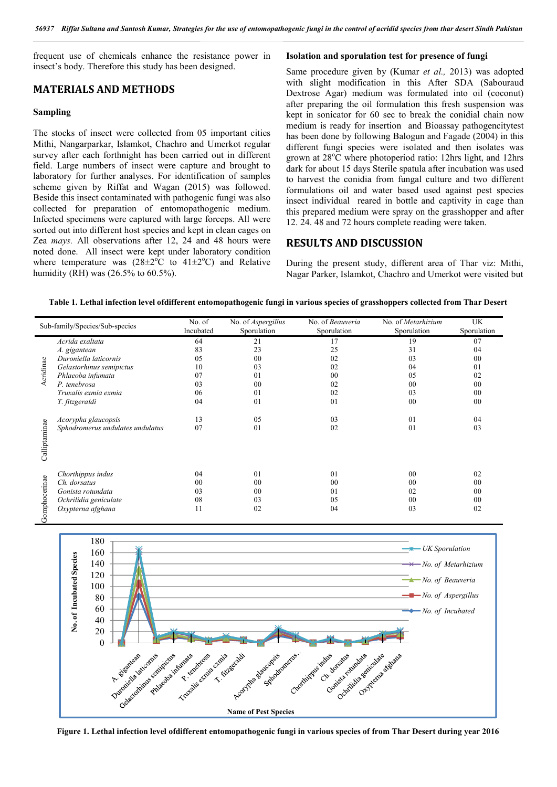frequent use of chemicals enhance the resistance power in insect's body. Therefore this study has been designed.

### **MATERIALS AND METHODS**

#### **Sampling**

The stocks of insect were collected from 05 important cities Mithi, Nangarparkar, Islamkot, Chachro and Umerkot regular survey after each forthnight has been carried out in different field. Large numbers of insect were capture and brought to laboratory for further analyses. For identification of samples scheme given by Riffat and Wagan (2015) was followed. Beside this insect contaminated with pathogenic fungi was also collected for preparation of entomopathogenic medium. Infected specimens were captured with large forceps. All were sorted out into different host species and kept in clean cages on Zea *mays.* All observations after 12, 24 and 48 hours were noted done. All insect were kept under laboratory condition where temperature was  $(28 \pm 2^{\circ}C)$  to  $41 \pm 2^{\circ}C$ ) and Relative humidity (RH) was (26.5% to 60.5%).

#### **Isolation and sporulation test for presence of fungi**

Same procedure given by (Kumar *et al.,* 2013) was adopted with slight modification in this After SDA (Sabouraud Dextrose Agar) medium was formulated into oil (coconut) after preparing the oil formulation this fresh suspension was kept in sonicator for 60 sec to break the conidial chain now medium is ready for insertion and Bioassay pathogencitytest has been done by following Balogun and Fagade (2004) in this different fungi species were isolated and then isolates was grown at 28°C where photoperiod ratio: 12hrs light, and 12hrs dark for about 15 days Sterile spatula after incubation was used to harvest the conidia from fungal culture and two different formulations oil and water based used against pest species insect individual reared in bottle and captivity in cage than this prepared medium were spray on the grasshopper and after 12. 24. 48 and 72 hours complete reading were taken.

# **RESULTS AND DISCUSSION**

During the present study, different area of Thar viz: Mithi, Nagar Parker, Islamkot, Chachro and Umerkot were visited but

### **Table 1. Lethal infection level ofdifferent entomopathogenic fungi in various species of grasshoppers collected from Thar Desert**

| Sub-family/Species/Sub-species |                                  | No. of    | No. of <i>Aspergillus</i> | No. of Beauveria | No. of Metarhizium | <b>UK</b>      |
|--------------------------------|----------------------------------|-----------|---------------------------|------------------|--------------------|----------------|
|                                |                                  | Incubated | Sporulation               | Sporulation      | Sporulation        | Sporulation    |
| Acridinae                      | Acrida exaltata                  | 64        | 21                        | 17               | 19                 | 07             |
|                                | A. gigantean                     | 83        | 23                        | 25               | 31                 | 04             |
|                                | Duroniella laticornis            | 05        | 00                        | 02               | 03                 | 00             |
|                                | Gelastorhinus semipictus         | 10        | 03                        | 02               | 04                 | 0 <sub>1</sub> |
|                                | Phlaeoba infumata                | 07        | 01                        | 0 <sub>0</sub>   | 05                 | 02             |
|                                | P. tenebrosa                     | 03        | 0 <sub>0</sub>            | 02               | 00                 | 00             |
|                                | Truxalis exmia exmia             | 06        | 01                        | 02               | 03                 | 00             |
|                                | T. fitzgeraldi                   | 04        | 01                        | 01               | 00                 | 00             |
| alliptaminae                   | Acorypha glaucopsis              | 13        | 05                        | 03               | 01                 | 04             |
| ن                              | Sphodromerus undulates undulatus | 07        | 0 <sub>1</sub>            | 02               | 01                 | 03             |
| Gomphocerinae                  | Chorthippus indus                | 04        | 0 <sub>1</sub>            | 0 <sub>1</sub>   | 0 <sub>0</sub>     | 02             |
|                                | Ch. dorsatus                     | 00        | 00                        | 00               | 0 <sub>0</sub>     | 00             |
|                                | Gonista rotundata                | 03        | 00                        | 01               | 02                 | 00             |
|                                | Ochrilidia geniculate            | 08        | 03                        | 05               | 00                 | 00             |
|                                | Oxypterna afghana                | 11        | 02                        | 04               | 03                 | 02             |



**Figure 1. Lethal infection level ofdifferent entomopathogenic fungi in various species of from Thar Desert during year 2016**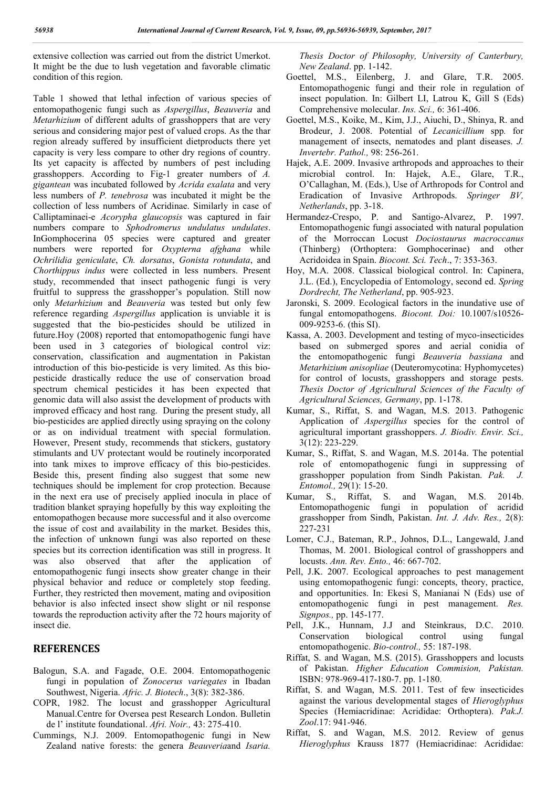extensive collection was carried out from the district Umerkot. It might be the due to lush vegetation and favorable climatic condition of this region.

Table 1 showed that lethal infection of various species of entomopathogenic fungi such as *Aspergillus*, *Beauveria* and *Metarhizium* of different adults of grasshoppers that are very serious and considering major pest of valued crops. As the thar region already suffered by insufficient dietproducts there yet capacity is very less compare to other dry regions of country. Its yet capacity is affected by numbers of pest including grasshoppers. According to Fig-1 greater numbers of *A. gigantean* was incubated followed by *Acrida exalata* and very less numbers of *P. tenebrosa* was incubated it might be the collection of less numbers of Acridinae. Similarly in case of Calliptaminaei-e *Acorypha glaucopsis* was captured in fair numbers compare to *Sphodromerus undulatus undulates*. InGomphocerina 05 species were captured and greater numbers were reported for *Oxypterna afghana* while *Ochrilidia geniculate*, *Ch. dorsatus*, *Gonista rotundata*, and *Chorthippus indus* were collected in less numbers. Present study, recommended that insect pathogenic fungi is very fruitful to suppress the grasshopper's population. Still now only *Metarhizium* and *Beauveria* was tested but only few reference regarding *Aspergillus* application is unviable it is suggested that the bio-pesticides should be utilized in future.Hoy (2008) reported that entomopathogenic fungi have been used in 3 categories of biological control viz: conservation, classification and augmentation in Pakistan introduction of this bio-pesticide is very limited. As this biopesticide drastically reduce the use of conservation broad spectrum chemical pesticides it has been expected that genomic data will also assist the development of products with improved efficacy and host rang. During the present study, all bio-pesticides are applied directly using spraying on the colony or as on individual treatment with special formulation. However, Present study, recommends that stickers, gustatory stimulants and UV protectant would be routinely incorporated into tank mixes to improve efficacy of this bio-pesticides. Beside this, present finding also suggest that some new techniques should be implement for crop protection. Because in the next era use of precisely applied inocula in place of tradition blanket spraying hopefully by this way exploiting the entomopathogen because more successful and it also overcome the issue of cost and availability in the market. Besides this, the infection of unknown fungi was also reported on these species but its correction identification was still in progress. It was also observed that after the application of entomopathogenic fungi insects show greater change in their physical behavior and reduce or completely stop feeding. Further, they restricted then movement, mating and oviposition behavior is also infected insect show slight or nil response towards the reproduction activity after the 72 hours majority of insect die.

# **REFERENCES**

- Balogun, S.A. and Fagade, O.E. 2004. Entomopathogenic fungi in population of *Zonocerus variegates* in Ibadan Southwest, Nigeria. *Afric. J. Biotech*., 3(8): 382-386.
- COPR, 1982. The locust and grasshopper Agricultural Manual.Centre for Oversea pest Research London. Bulletin de l' institute foundational. *Afri. Noir.,* 43: 275-410.
- Cummings, N.J. 2009. Entomopathogenic fungi in New Zealand native forests: the genera *Beauveria*and *Isaria.*

*Thesis Doctor of Philosophy, University of Canterbury, New Zealand*. pp. 1-142.

- Goettel, M.S., Eilenberg, J. and Glare, T.R. 2005. Entomopathogenic fungi and their role in regulation of insect population. In: Gilbert LI, Latrou K, Gill S (Eds) Comprehensive molecular. *Ins. Sci.,* 6: 361-406.
- Goettel, M.S., Koike, M., Kim, J.J., Aiuchi, D., Shinya, R. and Brodeur, J. 2008. Potential of *Lecanicillium* spp*.* for management of insects, nematodes and plant diseases. *J. Invertebr. Pathol.,* 98: 256-261.
- Hajek, A.E. 2009. Invasive arthropods and approaches to their microbial control. In: Hajek, A.E., Glare, T.R., O'Callaghan, M. (Eds.), Use of Arthropods for Control and Eradication of Invasive Arthropods. *Springer BV, Netherlands*, pp. 3-18.
- Hermandez-Crespo, P. and Santigo-Alvarez, P. 1997. Entomopathogenic fungi associated with natural population of the Morroccan Locust *Dociostaurus macroccanus* (Thinberg) (Orthoptera: Gomphocerinae) and other Acridoidea in Spain. *Biocont. Sci. Tech*., 7: 353-363.
- Hoy, M.A. 2008. Classical biological control. In: Capinera, J.L. (Ed.), Encyclopedia of Entomology, second ed. *Spring Dordrecht, The Netherland*, pp. 905-923.
- Jaronski, S. 2009. Ecological factors in the inundative use of fungal entomopathogens. *Biocont. Doi:* 10.1007/s10526- 009-9253-6. (this SI).
- Kassa, A. 2003. Development and testing of myco-insecticides based on submerged spores and aerial conidia of the entomopathogenic fungi *Beauveria bassiana* and *Metarhizium anisopliae* (Deuteromycotina: Hyphomycetes) for control of locusts, grasshoppers and storage pests. *Thesis Doctor of Agricultural Sciences of the Faculty of Agricultural Sciences, Germany*, pp. 1-178.
- Kumar, S., Riffat, S. and Wagan, M.S. 2013. Pathogenic Application of *Aspergillus* species for the control of agricultural important grasshoppers. *J. Biodiv. Envir. Sci.,* 3(12): 223-229.
- Kumar, S., Riffat, S. and Wagan, M.S. 2014a. The potential role of entomopathogenic fungi in suppressing of grasshopper population from Sindh Pakistan. *Pak. J. Entomol.,* 29(1): 15-20.
- Kumar, S., Riffat, S. and Wagan, M.S. 2014b. Entomopathogenic fungi in population of acridid grasshopper from Sindh, Pakistan. *Int. J. Adv. Res.,* 2(8): 227-231
- Lomer, C.J., Bateman, R.P., Johnos, D.L., Langewald, J.and Thomas, M. 2001. Biological control of grasshoppers and locusts. *Ann. Rev. Ento.,* 46: 667-702.
- Pell, J.K. 2007. Ecological approaches to pest management using entomopathogenic fungi: concepts, theory, practice, and opportunities. In: Ekesi S, Manianai N (Eds) use of entomopathogenic fungi in pest management. *Res. Signpos.,* pp. 145-177.
- Pell, J.K., Hunnam, J.J and Steinkraus, D.C. 2010. Conservation biological control using fungal entomopathogenic. *Bio-control.,* 55: 187-198.
- Riffat, S. and Wagan, M.S. (2015). Grasshoppers and locusts of Pakistan. *Higher Education Commision, Pakistan.*  ISBN: 978-969-417-180-7. pp. 1-180.
- Riffat, S. and Wagan, M.S. 2011. Test of few insecticides against the various developmental stages of *Hieroglyphus* Species (Hemiacridinae: Acrididae: Orthoptera). *Pak.J. Zool*.17: 941-946.
- Riffat, S. and Wagan, M.S. 2012. Review of genus *Hieroglyphus* Krauss 1877 (Hemiacridinae: Acrididae: